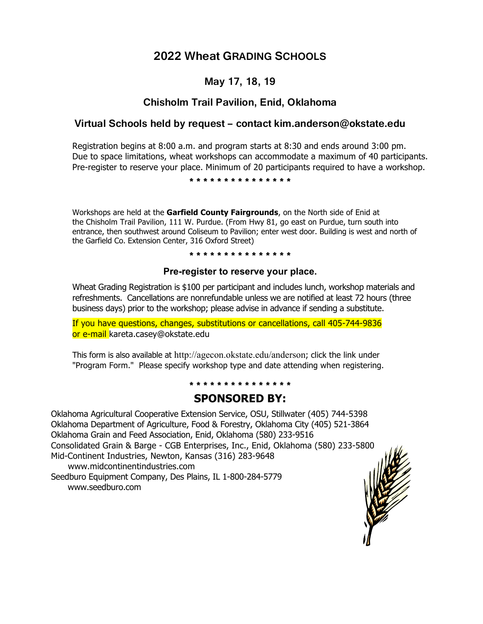# **2022 Wheat GRADING SCHOOLS**

## **May 17, 18, 19**

### **Chisholm Trail Pavilion, Enid, Oklahoma**

### **Virtual Schools held by request – contact kim.anderson@okstate.edu**

Registration begins at 8:00 a.m. and program starts at 8:30 and ends around 3:00 pm. Due to space limitations, wheat workshops can accommodate a maximum of 40 participants. Pre-register to reserve your place. Minimum of 20 participants required to have a workshop.

**\* \* \* \* \* \* \* \* \* \* \* \* \* \* \***

Workshops are held at the **Garfield County Fairgrounds**, on the North side of Enid at the Chisholm Trail Pavilion, 111 W. Purdue. (From Hwy 81, go east on Purdue, turn south into entrance, then southwest around Coliseum to Pavilion; enter west door. Building is west and north of the Garfield Co. Extension Center, 316 Oxford Street)

#### **\* \* \* \* \* \* \* \* \* \* \* \* \* \* \***

#### **Pre-register to reserve your place.**

Wheat Grading Registration is \$100 per participant and includes lunch, workshop materials and refreshments. Cancellations are nonrefundable unless we are notified at least 72 hours (three business days) prior to the workshop; please advise in advance if sending a substitute.

If you have questions, changes, substitutions or cancellations, call 405-744-9836 or e-mail kareta.casey@okstate.edu

This form is also available at http://agecon.okstate.edu/anderson; click the link under "Program Form." Please specify workshop type and date attending when registering.

#### **\* \* \* \* \* \* \* \* \* \* \* \* \* \* \***

### **SPONSORED BY:**

Oklahoma Agricultural Cooperative Extension Service, OSU, Stillwater (405) 744-5398 Oklahoma Department of Agriculture, Food & Forestry, Oklahoma City (405) 521-3864 Oklahoma Grain and Feed Association, Enid, Oklahoma (580) 233-9516 Consolidated Grain & Barge - CGB Enterprises, Inc., Enid, Oklahoma (580) 233-5800 Mid-Continent Industries, Newton, Kansas (316) 283-9648 www.midcontinentindustries.com Seedburo Equipment Company, Des Plains, IL 1-800-284-5779 www.seedburo.com